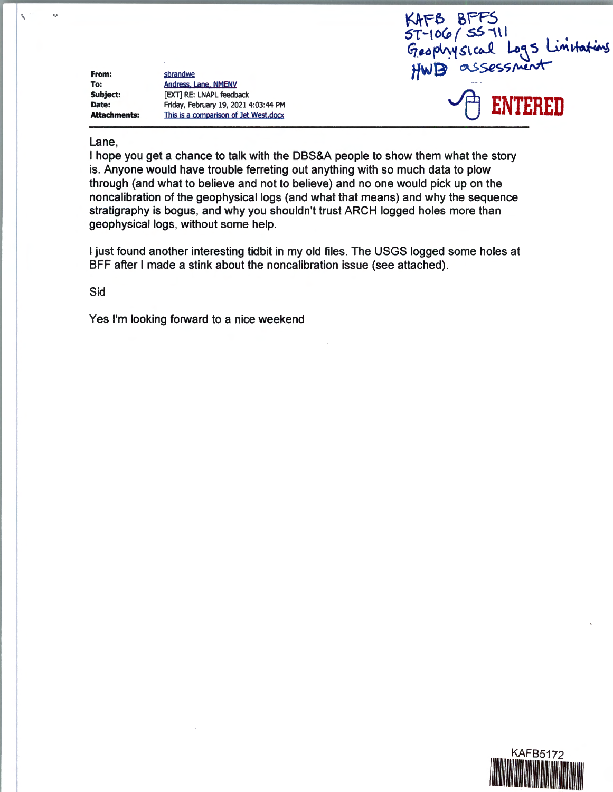**From: To: Subject: Date: Attachments:** 

 $\mathbf{v}$ 

ò

sbrandwe Andress, Lane, NMENV [EXT] RE: LNAPL feedback Friday, February 19, 2021 4:03:44 PM This is a comparison of Jet West.docx



## Lane,

I hope you get a chance to talk with the DBS&A people to show them what the story is. Anyone would have trouble ferreting out anything with so much data to plow through (and what to believe and not to believe) and no one would pick up on the noncalibration of the geophysical logs (and what that means) and why the sequence stratigraphy is bogus, and why you shouldn't trust ARCH logged holes more than geophysical logs, without some help.

I just found another interesting tidbit in my old files. The USGS logged some holes at BFF after I made a stink about the noncalibration issue (see attached).

Sid

Yes I'm looking forward to a nice weekend

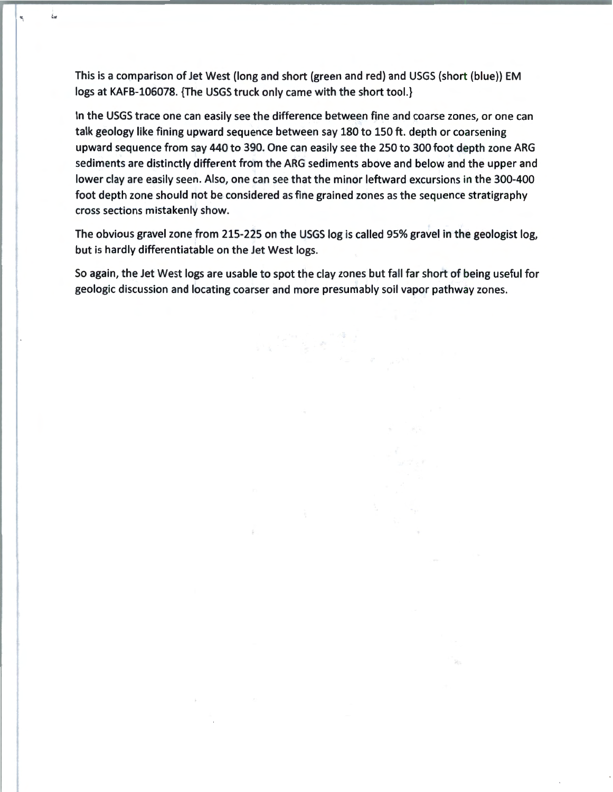This is a comparison of Jet West (long and short (green and red) and USGS (short (blue)) EM logs at KAFB-106078. {The USGS truck only came with the short tool.}

i.

۳

In the USGS trace one can easily see the difference between fine and coarse zones, or one can talk geology like fining upward sequence between say 180 to 150 ft. depth or coarsening upward sequence from say 440 to 390. One can easily see the 250 to 300 foot depth zone ARG sediments are distinctly different from the ARG sediments above and below and the upper and lower clay are easily seen. Also, one can see that the minor leftward excursions in the 300-400 foot depth zone should not be considered as fine grained zones as the sequence stratigraphy cross sections mistakenly show.

The obvious gravel zone from 215-225 on the USGS log is called 95% gravel in the geologist log, but is hardly differentiatable on the Jet West logs.

So again, the Jet West logs are usable to spot the clay zones but fall far short of being useful for geologic discussion and locating coarser and more presumably soil vapor pathway zones.